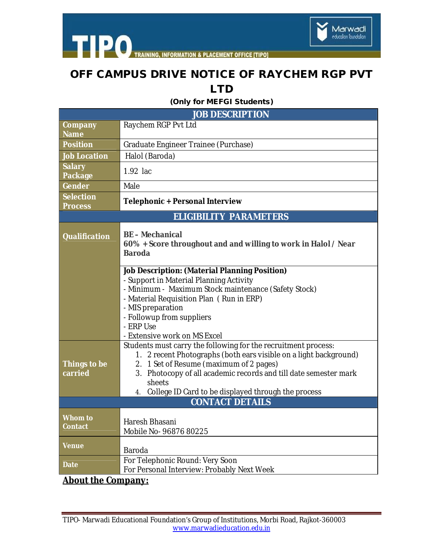



**TRAINING, INFORMATION & PLACEMENT OFFICE [TIPO]** 

## **OFF CAMPUS DRIVE NOTICE OF RAYCHEM RGP PVT LTD**

**(Only for MEFGI Students)**

| <b>JOB DESCRIPTION</b>             |                                                                                                                                                                                                                                                                                                                              |
|------------------------------------|------------------------------------------------------------------------------------------------------------------------------------------------------------------------------------------------------------------------------------------------------------------------------------------------------------------------------|
| Company<br><b>Name</b>             | Raychem RGP Pvt Ltd                                                                                                                                                                                                                                                                                                          |
| <b>Position</b>                    | Graduate Engineer Trainee (Purchase)                                                                                                                                                                                                                                                                                         |
| <b>Job Location</b>                | Halol (Baroda)                                                                                                                                                                                                                                                                                                               |
| <b>Salary</b><br>Package           | 1.92 lac                                                                                                                                                                                                                                                                                                                     |
| Gender                             | Male                                                                                                                                                                                                                                                                                                                         |
| <b>Selection</b><br><b>Process</b> | <b>Telephonic + Personal Interview</b>                                                                                                                                                                                                                                                                                       |
| <b>ELIGIBILITY PARAMETERS</b>      |                                                                                                                                                                                                                                                                                                                              |
| <b>Qualification</b>               | <b>BE-Mechanical</b><br>60% + Score throughout and and willing to work in Halol / Near<br><b>Baroda</b>                                                                                                                                                                                                                      |
|                                    | <b>Job Description: (Material Planning Position)</b><br>- Support in Material Planning Activity<br>- Minimum - Maximum Stock maintenance (Safety Stock)<br>- Material Requisition Plan (Run in ERP)<br>- MIS preparation<br>- Followup from suppliers<br>- ERP Use<br>- Extensive work on MS Excel                           |
| Things to be<br>carried            | Students must carry the following for the recruitment process:<br>2 recent Photographs (both ears visible on a light background)<br>1.<br>2. 1 Set of Resume (maximum of 2 pages)<br>3. Photocopy of all academic records and till date semester mark<br>sheets<br>College ID Card to be displayed through the process<br>4. |
| <b>CONTACT DETAILS</b>             |                                                                                                                                                                                                                                                                                                                              |
| Whom to<br>Contact                 | Haresh Bhasani<br>Mobile No- 96876 80225                                                                                                                                                                                                                                                                                     |
| <b>Venue</b>                       | Baroda                                                                                                                                                                                                                                                                                                                       |
| <b>Date</b>                        | For Telephonic Round: Very Soon<br>For Personal Interview: Probably Next Week                                                                                                                                                                                                                                                |

**About the Company:**